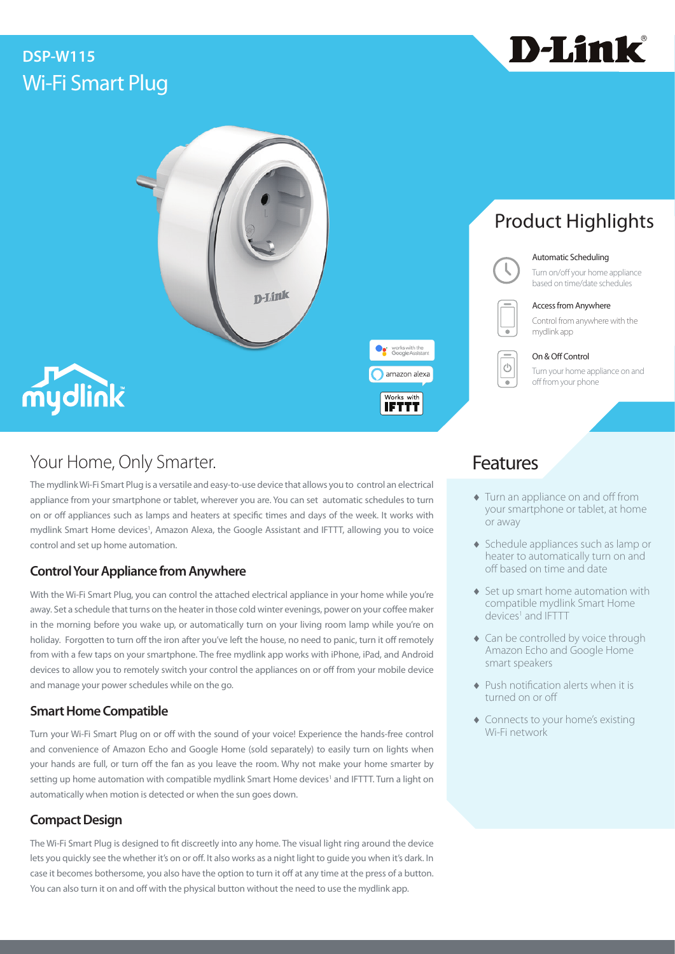# Wi-Fi Smart Plug **DSP-W115**





## Your Home, Only Smarter. The Contract of the Contract of Teatures

The mydlink Wi-Fi Smart Plug is a versatile and easy-to-use device that allows you to control an electrical appliance from your smartphone or tablet, wherever you are. You can set automatic schedules to turn on or off appliances such as lamps and heaters at specific times and days of the week. It works with mydlink Smart Home devices<sup>1</sup>, Amazon Alexa, the Google Assistant and IFTTT, allowing you to voice control and set up home automation.

### **Control Your Appliance from Anywhere**

With the Wi-Fi Smart Plug, you can control the attached electrical appliance in your home while you're away. Set a schedule that turns on the heater in those cold winter evenings, power on your coffee maker in the morning before you wake up, or automatically turn on your living room lamp while you're on holiday. Forgotten to turn off the iron after you've left the house, no need to panic, turn it off remotely from with a few taps on your smartphone. The free mydlink app works with iPhone, iPad, and Android devices to allow you to remotely switch your control the appliances on or off from your mobile device and manage your power schedules while on the go.

### **Smart Home Compatible**

Turn your Wi-Fi Smart Plug on or off with the sound of your voice! Experience the hands-free control and convenience of Amazon Echo and Google Home (sold separately) to easily turn on lights when your hands are full, or turn off the fan as you leave the room. Why not make your home smarter by setting up home automation with compatible mydlink Smart Home devices<sup>1</sup> and IFTTT. Turn a light on automatically when motion is detected or when the sun goes down.

### **Compact Design**

The Wi-Fi Smart Plug is designed to fit discreetly into any home. The visual light ring around the device lets you quickly see the whether it's on or off. It also works as a night light to guide you when it's dark. In case it becomes bothersome, you also have the option to turn it off at any time at the press of a button. You can also turn it on and off with the physical button without the need to use the mydlink app.

- $\blacklozenge$  Turn an appliance on and off from your smartphone or tablet, at home or away
- ♦ Schedule appliances such as lamp or heater to automatically turn on and off based on time and date
- ♦ Set up smart home automation with compatible mydlink Smart Home devices<sup>1</sup> and IFTTT
- ♦ Can be controlled by voice through Amazon Echo and Google Home smart speakers
- ♦ Push notification alerts when it is turned on or off
- ♦ Connects to your home's existing Wi-Fi network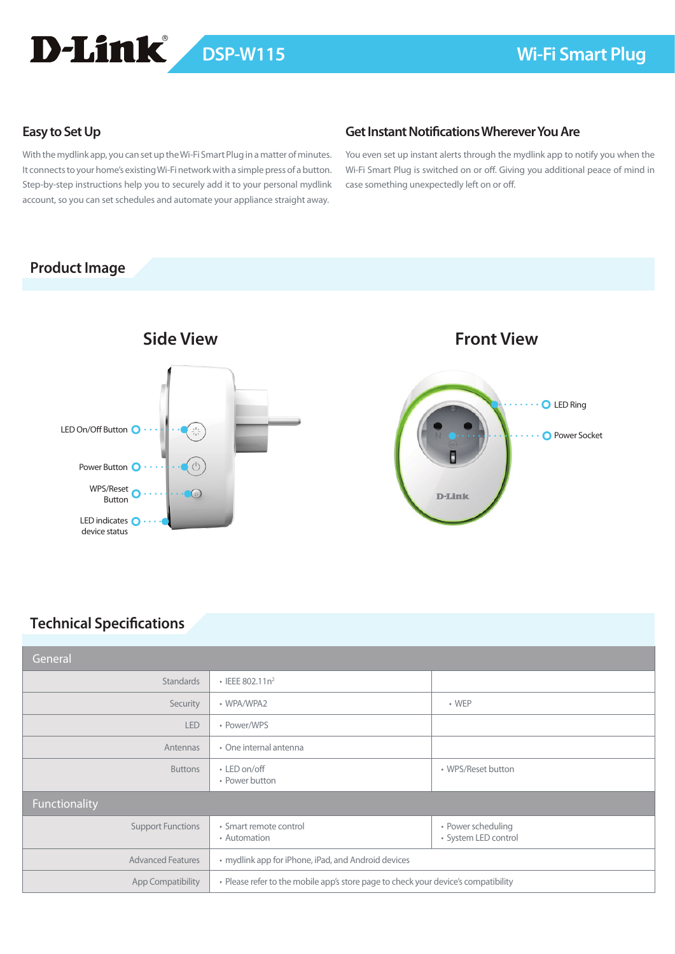# D-Link

### **Easy to Set Up**

With the mydlink app, you can set up the Wi-Fi Smart Plug in a matter of minutes. It connects to your home's existing Wi-Fi network with a simple press of a button. Step-by-step instructions help you to securely add it to your personal mydlink account, so you can set schedules and automate your appliance straight away.

### **Get Instant Notifications Wherever You Are**

You even set up instant alerts through the mydlink app to notify you when the Wi-Fi Smart Plug is switched on or off. Giving you additional peace of mind in case something unexpectedly left on or off.

### **Product Image**



### **Technical Specifications**

| General                  |                                                                                    |                                            |
|--------------------------|------------------------------------------------------------------------------------|--------------------------------------------|
| Standards                | $\cdot$ IEEE 802.11n <sup>2</sup>                                                  |                                            |
| Security                 | • WPA/WPA2                                                                         | $\cdot$ WEP                                |
| <b>LED</b>               | • Power/WPS                                                                        |                                            |
| Antennas                 | • One internal antenna                                                             |                                            |
| <b>Buttons</b>           | • LED on/off<br>• Power button                                                     | • WPS/Reset button                         |
| Functionality            |                                                                                    |                                            |
| <b>Support Functions</b> | · Smart remote control<br>• Automation                                             | • Power scheduling<br>• System LED control |
| <b>Advanced Features</b> | • mydlink app for iPhone, iPad, and Android devices                                |                                            |
| <b>App Compatibility</b> | • Please refer to the mobile app's store page to check your device's compatibility |                                            |